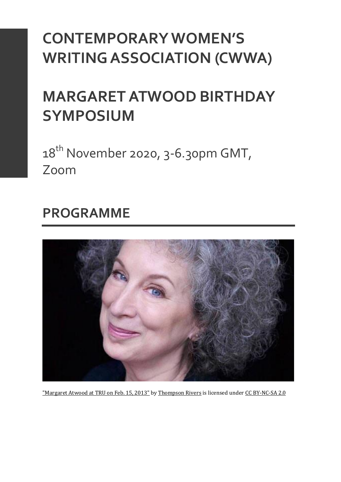# **CONTEMPORARY WOMEN'S WRITING ASSOCIATION (CWWA)**

# **MARGARET ATWOOD BIRTHDAY SYMPOSIUM**

 $18^{th}$  November 2020, 3-6.30pm GMT, Zoom

## **PROGRAMME**



["Margaret Atwood at TRU on Feb. 15, 2013"](https://www.flickr.com/photos/43912780@N04/8433144977) by [Thompson Rivers](https://www.flickr.com/photos/43912780@N04) is licensed under [CC BY-NC-SA 2.0](https://creativecommons.org/licenses/by-nc-sa/2.0/?ref=ccsearch&atype=rich)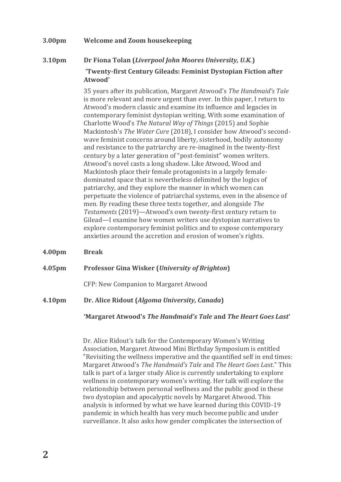#### **3.00pm Welcome and Zoom housekeeping**

### **3.10pm Dr Fiona Tolan (***Liverpool John Moores University, U.K.***) 'Twenty-first Century Gileads: Feminist Dystopian Fiction after Atwood'**

35 years after its publication, Margaret Atwood's *The Handmaid's Tale* is more relevant and more urgent than ever. In this paper, I return to Atwood's modern classic and examine its influence and legacies in contemporary feminist dystopian writing. With some examination of Charlotte Wood's *The Natural Way of Things* (2015) and Sophie Mackintosh's *The Water Cure* (2018), I consider how Atwood's secondwave feminist concerns around liberty, sisterhood, bodily autonomy and resistance to the patriarchy are re-imagined in the twenty-first century by a later generation of "post-feminist" women writers. Atwood's novel casts a long shadow. Like Atwood, Wood and Mackintosh place their female protagonists in a largely femaledominated space that is nevertheless delimited by the logics of patriarchy, and they explore the manner in which women can perpetuate the violence of patriarchal systems, even in the absence of men. By reading these three texts together, and alongside *The Testaments* (2019)—Atwood's own twenty-first century return to Gilead—I examine how women writers use dystopian narratives to explore contemporary feminist politics and to expose contemporary anxieties around the accretion and erosion of women's rights.

**4.00pm Break**

#### **4.05pm Professor Gina Wisker (***University of Brighton***)**

CFP: New Companion to Margaret Atwood

**4.10pm Dr. Alice Ridout (***Algoma University, Canada***)**

#### **'Margaret Atwood's** *The Handmaid's Tale* **and** *The Heart Goes Last***'**

Dr. Alice Ridout's talk for the Contemporary Women's Writing Association, Margaret Atwood Mini Birthday Symposium is entitled "Revisiting the wellness imperative and the quantified self in end times: Margaret Atwood's *The Handmaid's Tale* and *The Heart Goes Last*." This talk is part of a larger study Alice is currently undertaking to explore wellness in contemporary women's writing. Her talk will explore the relationship between personal wellness and the public good in these two dystopian and apocalyptic novels by Margaret Atwood. This analysis is informed by what we have learned during this COVID-19 pandemic in which health has very much become public and under surveillance. It also asks how gender complicates the intersection of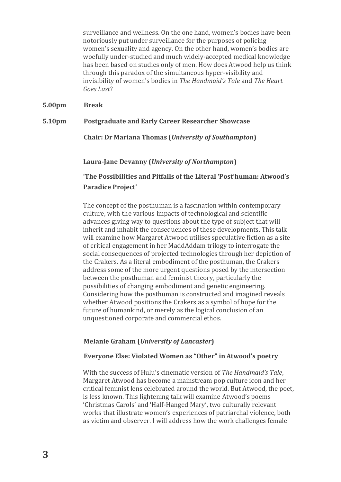surveillance and wellness. On the one hand, women's bodies have been notoriously put under surveillance for the purposes of policing women's sexuality and agency. On the other hand, women's bodies are woefully under-studied and much widely-accepted medical knowledge has been based on studies only of men. How does Atwood help us think through this paradox of the simultaneous hyper-visibility and invisibility of women's bodies in *The Handmaid's Tale* and *The Heart Goes Last*?

**5.00pm Break**

**5.10pm Postgraduate and Early Career Researcher Showcase**

**Chair: Dr Mariana Thomas (***University of Southampton***)**

**Laura-Jane Devanny (***University of Northampton***)**

**'The Possibilities and Pitfalls of the Literal 'Post'human: Atwood's Paradice Project'**

The concept of the posthuman is a fascination within contemporary culture, with the various impacts of technological and scientific advances giving way to questions about the type of subject that will inherit and inhabit the consequences of these developments. This talk will examine how Margaret Atwood utilises speculative fiction as a site of critical engagement in her MaddAddam trilogy to interrogate the social consequences of projected technologies through her depiction of the Crakers. As a literal embodiment of the posthuman, the Crakers address some of the more urgent questions posed by the intersection between the posthuman and feminist theory, particularly the possibilities of changing embodiment and genetic engineering. Considering how the posthuman is constructed and imagined reveals whether Atwood positions the Crakers as a symbol of hope for the future of humankind, or merely as the logical conclusion of an unquestioned corporate and commercial ethos.

#### **Melanie Graham (***University of Lancaster***)**

#### **Everyone Else: Violated Women as "Other" in Atwood's poetry**

With the success of Hulu's cinematic version of *The Handmaid's Tale*, Margaret Atwood has become a mainstream pop culture icon and her critical feminist lens celebrated around the world. But Atwood, the poet, is less known. This lightening talk will examine Atwood's poems 'Christmas Carols' and 'Half-Hanged Mary', two culturally relevant works that illustrate women's experiences of patriarchal violence, both as victim and observer. I will address how the work challenges female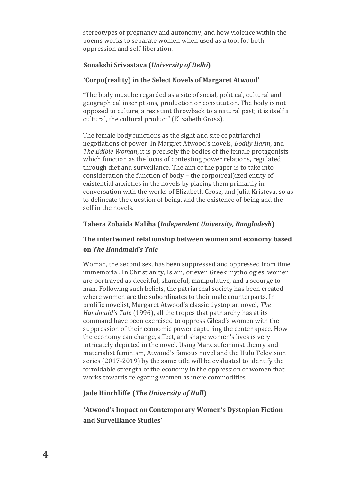stereotypes of pregnancy and autonomy, and how violence within the poems works to separate women when used as a tool for both oppression and self-liberation.

#### **Sonakshi Srivastava (***University of Delhi***)**

#### **'Corpo(reality) in the Select Novels of Margaret Atwood'**

"The body must be regarded as a site of social, political, cultural and geographical inscriptions, production or constitution. The body is not opposed to culture, a resistant throwback to a natural past; it is itself a cultural, the cultural product" (Elizabeth Grosz).

The female body functions as the sight and site of patriarchal negotiations of power. In Margret Atwood's novels, *Bodily Harm*, and *The Edible Woman*, it is precisely the bodies of the female protagonists which function as the locus of contesting power relations, regulated through diet and surveillance. The aim of the paper is to take into consideration the function of body – the corpo(real)ized entity of existential anxieties in the novels by placing them primarily in conversation with the works of Elizabeth Grosz, and Julia Kristeva, so as to delineate the question of being, and the existence of being and the self in the novels.

#### **Tahera Zobaida Maliha (***Independent University, Bangladesh***)**

### **The intertwined relationship between women and economy based on** *The Handmaid's Tale*

Woman, the second sex, has been suppressed and oppressed from time immemorial. In Christianity, Islam, or even Greek mythologies, women are portrayed as deceitful, shameful, manipulative, and a scourge to man. Following such beliefs, the patriarchal society has been created where women are the subordinates to their male counterparts. In prolific novelist, Margaret Atwood's classic dystopian novel, *The Handmaid's Tale* (1996), all the tropes that patriarchy has at its command have been exercised to oppress Gilead's women with the suppression of their economic power capturing the center space. How the economy can change, affect, and shape women's lives is very intricately depicted in the novel. Using Marxist feminist theory and materialist feminism, Atwood's famous novel and the Hulu Television series (2017-2019) by the same title will be evaluated to identify the formidable strength of the economy in the oppression of women that works towards relegating women as mere commodities.

#### **Jade Hinchliffe (***The University of Hull***)**

**'Atwood's Impact on Contemporary Women's Dystopian Fiction and Surveillance Studies'**